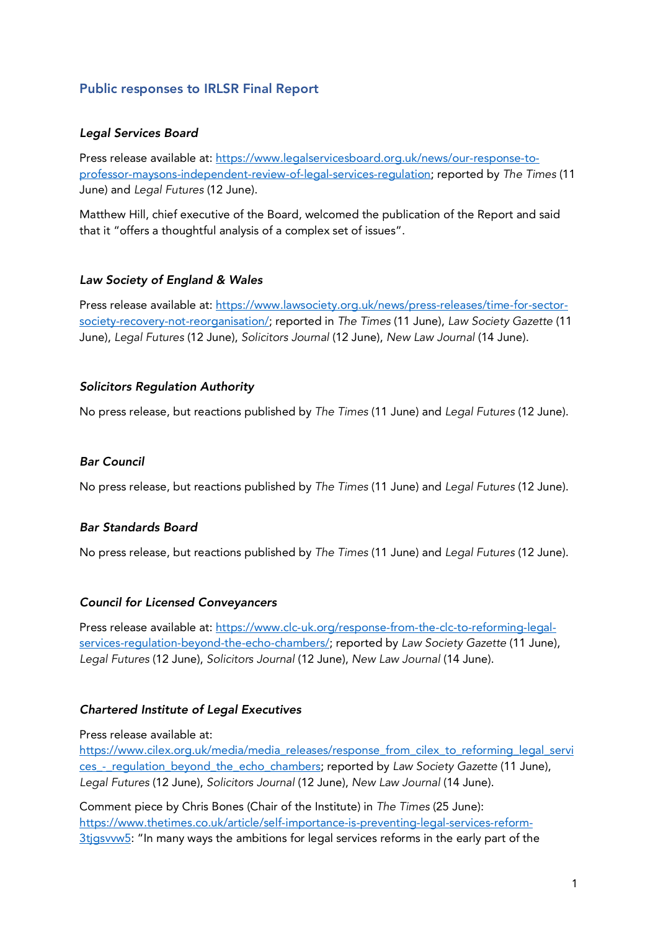# Public responses to IRLSR Final Report

## *Legal Services Board*

Press release available at: https://www.legalservicesboard.org.uk/news/our-response-toprofessor-maysons-independent-review-of-legal-services-regulation; reported by *The Times* (11 June) and *Legal Futures* (12 June).

Matthew Hill, chief executive of the Board, welcomed the publication of the Report and said that it "offers a thoughtful analysis of a complex set of issues".

# *Law Society of England & Wales*

Press release available at: https://www.lawsociety.org.uk/news/press-releases/time-for-sectorsociety-recovery-not-reorganisation/; reported in *The Times* (11 June), *Law Society Gazette* (11 June), *Legal Futures* (12 June), *Solicitors Journal* (12 June), *New Law Journal* (14 June).

### *Solicitors Regulation Authority*

No press release, but reactions published by *The Times* (11 June) and *Legal Futures* (12 June).

### *Bar Council*

No press release, but reactions published by *The Times* (11 June) and *Legal Futures* (12 June).

### *Bar Standards Board*

No press release, but reactions published by *The Times* (11 June) and *Legal Futures* (12 June).

### *Council for Licensed Conveyancers*

Press release available at: https://www.clc-uk.org/response-from-the-clc-to-reforming-legalservices-regulation-beyond-the-echo-chambers/; reported by *Law Society Gazette* (11 June), *Legal Futures* (12 June), *Solicitors Journal* (12 June), *New Law Journal* (14 June).

## *Chartered Institute of Legal Executives*

#### Press release available at:

https://www.cilex.org.uk/media/media\_releases/response\_from\_cilex\_to\_reforming\_legal\_servi ces\_-\_regulation\_beyond\_the\_echo\_chambers; reported by *Law Society Gazette* (11 June), *Legal Futures* (12 June), *Solicitors Journal* (12 June), *New Law Journal* (14 June).

Comment piece by Chris Bones (Chair of the Institute) in *The Times* (25 June): https://www.thetimes.co.uk/article/self-importance-is-preventing-legal-services-reform-3tjgsvvw5: "In many ways the ambitions for legal services reforms in the early part of the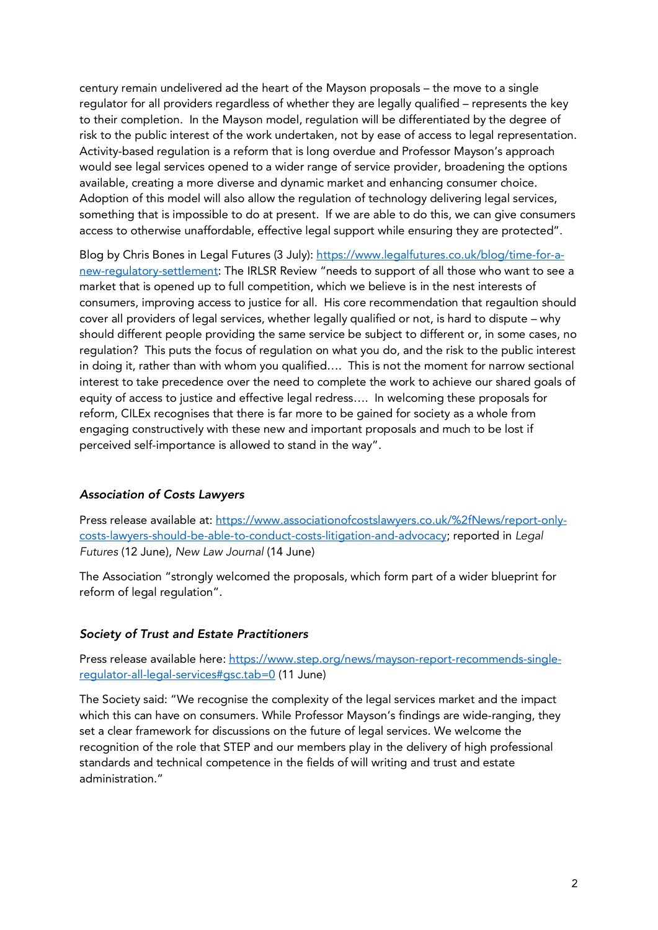century remain undelivered ad the heart of the Mayson proposals – the move to a single regulator for all providers regardless of whether they are legally qualified – represents the key to their completion. In the Mayson model, regulation will be differentiated by the degree of risk to the public interest of the work undertaken, not by ease of access to legal representation. Activity-based regulation is a reform that is long overdue and Professor Mayson's approach would see legal services opened to a wider range of service provider, broadening the options available, creating a more diverse and dynamic market and enhancing consumer choice. Adoption of this model will also allow the regulation of technology delivering legal services, something that is impossible to do at present. If we are able to do this, we can give consumers access to otherwise unaffordable, effective legal support while ensuring they are protected".

Blog by Chris Bones in Legal Futures (3 July): https://www.legalfutures.co.uk/blog/time-for-anew-regulatory-settlement: The IRLSR Review "needs to support of all those who want to see a market that is opened up to full competition, which we believe is in the nest interests of consumers, improving access to justice for all. His core recommendation that regaultion should cover all providers of legal services, whether legally qualified or not, is hard to dispute – why should different people providing the same service be subject to different or, in some cases, no regulation? This puts the focus of regulation on what you do, and the risk to the public interest in doing it, rather than with whom you qualified…. This is not the moment for narrow sectional interest to take precedence over the need to complete the work to achieve our shared goals of equity of access to justice and effective legal redress…. In welcoming these proposals for reform, CILEx recognises that there is far more to be gained for society as a whole from engaging constructively with these new and important proposals and much to be lost if perceived self-importance is allowed to stand in the way".

### *Association of Costs Lawyers*

Press release available at: https://www.associationofcostslawyers.co.uk/%2fNews/report-onlycosts-lawyers-should-be-able-to-conduct-costs-litigation-and-advocacy; reported in *Legal Futures* (12 June), *New Law Journal* (14 June)

The Association "strongly welcomed the proposals, which form part of a wider blueprint for reform of legal regulation".

### *Society of Trust and Estate Practitioners*

Press release available here: https://www.step.org/news/mayson-report-recommends-singleregulator-all-legal-services#gsc.tab=0 (11 June)

The Society said: "We recognise the complexity of the legal services market and the impact which this can have on consumers. While Professor Mayson's findings are wide-ranging, they set a clear framework for discussions on the future of legal services. We welcome the recognition of the role that STEP and our members play in the delivery of high professional standards and technical competence in the fields of will writing and trust and estate administration."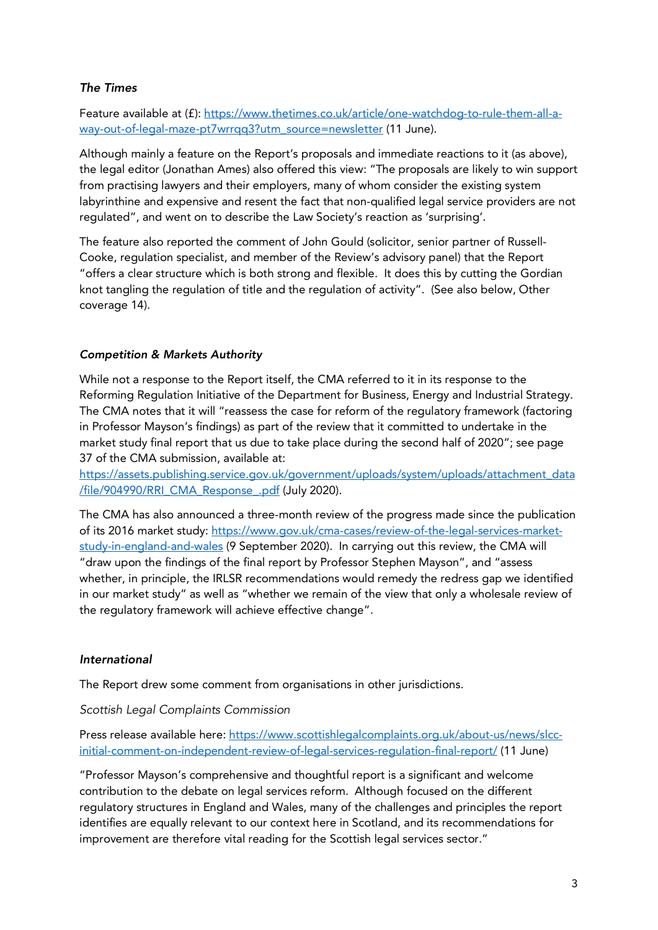# *The Times*

Feature available at (f): https://www.thetimes.co.uk/article/one-watchdog-to-rule-them-all-away-out-of-legal-maze-pt7wrrqq3?utm\_source=newsletter (11 June).

Although mainly a feature on the Report's proposals and immediate reactions to it (as above), the legal editor (Jonathan Ames) also offered this view: "The proposals are likely to win support from practising lawyers and their employers, many of whom consider the existing system labyrinthine and expensive and resent the fact that non-qualified legal service providers are not regulated", and went on to describe the Law Society's reaction as 'surprising'.

The feature also reported the comment of John Gould (solicitor, senior partner of Russell-Cooke, regulation specialist, and member of the Review's advisory panel) that the Report "offers a clear structure which is both strong and flexible. It does this by cutting the Gordian knot tangling the regulation of title and the regulation of activity". (See also below, Other coverage 14).

# *Competition & Markets Authority*

While not a response to the Report itself, the CMA referred to it in its response to the Reforming Regulation Initiative of the Department for Business, Energy and Industrial Strategy. The CMA notes that it will "reassess the case for reform of the regulatory framework (factoring in Professor Mayson's findings) as part of the review that it committed to undertake in the market study final report that us due to take place during the second half of 2020"; see page 37 of the CMA submission, available at:

https://assets.publishing.service.gov.uk/government/uploads/system/uploads/attachment\_data /file/904990/RRI\_CMA\_Response\_.pdf (July 2020).

The CMA has also announced a three-month review of the progress made since the publication of its 2016 market study: https://www.gov.uk/cma-cases/review-of-the-legal-services-marketstudy-in-england-and-wales (9 September 2020). In carrying out this review, the CMA will "draw upon the findings of the final report by Professor Stephen Mayson", and "assess whether, in principle, the IRLSR recommendations would remedy the redress gap we identified in our market study" as well as "whether we remain of the view that only a wholesale review of the regulatory framework will achieve effective change".

### *International*

The Report drew some comment from organisations in other jurisdictions.

### *Scottish Legal Complaints Commission*

Press release available here: https://www.scottishlegalcomplaints.org.uk/about-us/news/slccinitial-comment-on-independent-review-of-legal-services-regulation-final-report/ (11 June)

"Professor Mayson's comprehensive and thoughtful report is a significant and welcome contribution to the debate on legal services reform. Although focused on the different regulatory structures in England and Wales, many of the challenges and principles the report identifies are equally relevant to our context here in Scotland, and its recommendations for improvement are therefore vital reading for the Scottish legal services sector."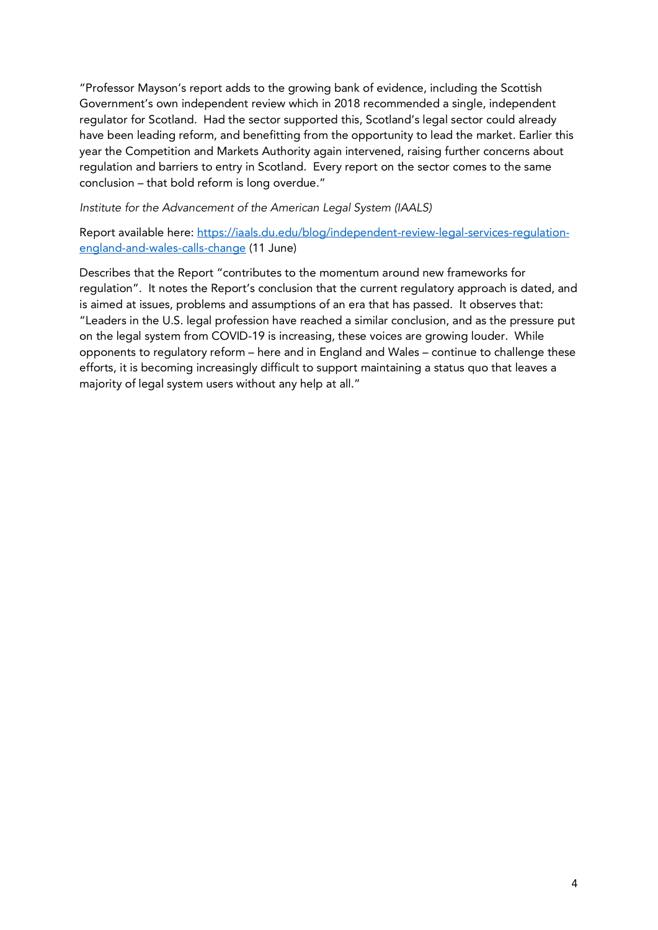"Professor Mayson's report adds to the growing bank of evidence, including the Scottish Government's own independent review which in 2018 recommended a single, independent regulator for Scotland. Had the sector supported this, Scotland's legal sector could already have been leading reform, and benefitting from the opportunity to lead the market. Earlier this year the Competition and Markets Authority again intervened, raising further concerns about regulation and barriers to entry in Scotland. Every report on the sector comes to the same conclusion – that bold reform is long overdue."

*Institute for the Advancement of the American Legal System (IAALS)*

Report available here: https://iaals.du.edu/blog/independent-review-legal-services-regulationengland-and-wales-calls-change (11 June)

Describes that the Report "contributes to the momentum around new frameworks for regulation". It notes the Report's conclusion that the current regulatory approach is dated, and is aimed at issues, problems and assumptions of an era that has passed. It observes that: "Leaders in the U.S. legal profession have reached a similar conclusion, and as the pressure put on the legal system from COVID-19 is increasing, these voices are growing louder. While opponents to regulatory reform – here and in England and Wales – continue to challenge these efforts, it is becoming increasingly difficult to support maintaining a status quo that leaves a majority of legal system users without any help at all."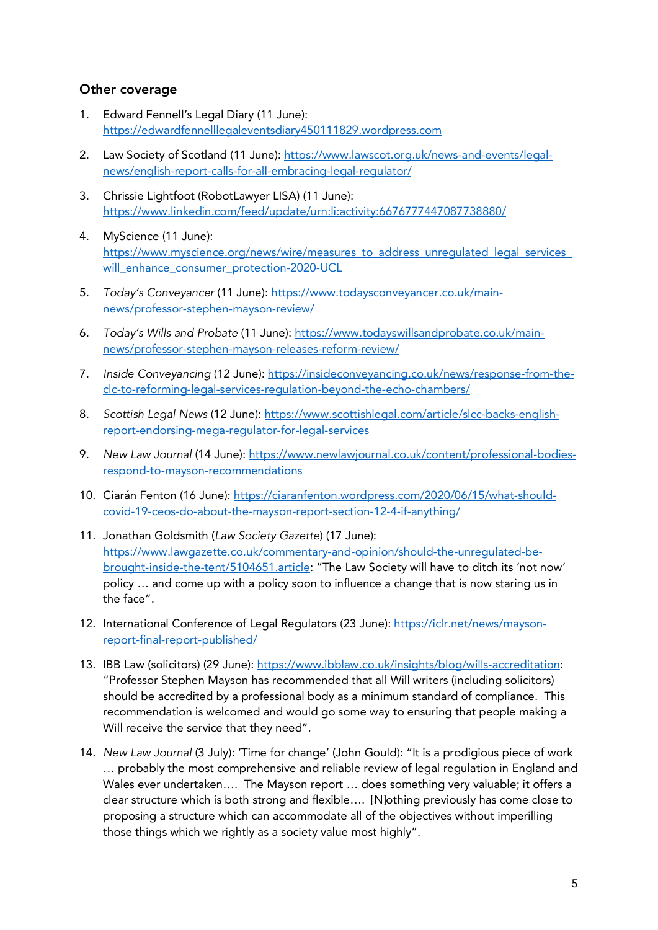# Other coverage

- 1. Edward Fennell's Legal Diary (11 June): https://edwardfennelllegaleventsdiary450111829.wordpress.com
- 2. Law Society of Scotland (11 June): https://www.lawscot.org.uk/news-and-events/legalnews/english-report-calls-for-all-embracing-legal-regulator/
- 3. Chrissie Lightfoot (RobotLawyer LISA) (11 June): https://www.linkedin.com/feed/update/urn:li:activity:6676777447087738880/
- 4. MyScience (11 June): https://www.myscience.org/news/wire/measures\_to\_address\_unregulated\_legal\_services will\_enhance\_consumer\_protection-2020-UCL
- 5. *Today's Conveyancer* (11 June): https://www.todaysconveyancer.co.uk/mainnews/professor-stephen-mayson-review/
- 6. *Today's Wills and Probate* (11 June): https://www.todayswillsandprobate.co.uk/mainnews/professor-stephen-mayson-releases-reform-review/
- 7. *Inside Conveyancing* (12 June): https://insideconveyancing.co.uk/news/response-from-theclc-to-reforming-legal-services-regulation-beyond-the-echo-chambers/
- 8. *Scottish Legal News* (12 June): https://www.scottishlegal.com/article/slcc-backs-englishreport-endorsing-mega-regulator-for-legal-services
- 9. *New Law Journal* (14 June): https://www.newlawjournal.co.uk/content/professional-bodiesrespond-to-mayson-recommendations
- 10. Ciarán Fenton (16 June): https://ciaranfenton.wordpress.com/2020/06/15/what-shouldcovid-19-ceos-do-about-the-mayson-report-section-12-4-if-anything/
- 11. Jonathan Goldsmith (*Law Society Gazette*) (17 June): https://www.lawgazette.co.uk/commentary-and-opinion/should-the-unregulated-bebrought-inside-the-tent/5104651.article: "The Law Society will have to ditch its 'not now' policy … and come up with a policy soon to influence a change that is now staring us in the face".
- 12. International Conference of Legal Regulators (23 June): https://iclr.net/news/maysonreport-final-report-published/
- 13. IBB Law (solicitors) (29 June): https://www.ibblaw.co.uk/insights/blog/wills-accreditation: "Professor Stephen Mayson has recommended that all Will writers (including solicitors) should be accredited by a professional body as a minimum standard of compliance. This recommendation is welcomed and would go some way to ensuring that people making a Will receive the service that they need".
- 14. *New Law Journal* (3 July): 'Time for change' (John Gould): "It is a prodigious piece of work … probably the most comprehensive and reliable review of legal regulation in England and Wales ever undertaken…. The Mayson report … does something very valuable; it offers a clear structure which is both strong and flexible…. [N]othing previously has come close to proposing a structure which can accommodate all of the objectives without imperilling those things which we rightly as a society value most highly".